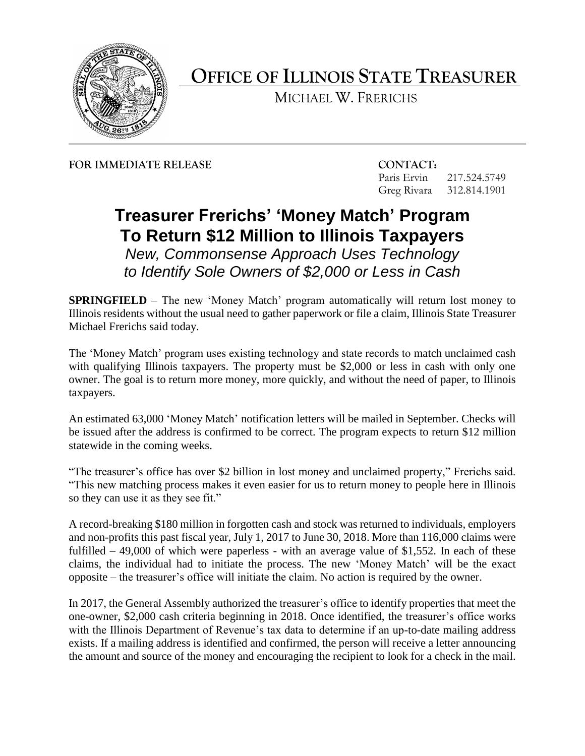

## **OFFICE OF ILLINOIS STATE TREASURER**

MICHAEL W. FRERICHS

**FOR IMMEDIATE RELEASE CONTACT:**

Paris Ervin 217.524.5749 Greg Rivara 312.814.1901

## **Treasurer Frerichs' 'Money Match' Program To Return \$12 Million to Illinois Taxpayers**

*New, Commonsense Approach Uses Technology to Identify Sole Owners of \$2,000 or Less in Cash*

**SPRINGFIELD** – The new 'Money Match' program automatically will return lost money to Illinois residents without the usual need to gather paperwork or file a claim, Illinois State Treasurer Michael Frerichs said today.

The 'Money Match' program uses existing technology and state records to match unclaimed cash with qualifying Illinois taxpayers. The property must be \$2,000 or less in cash with only one owner. The goal is to return more money, more quickly, and without the need of paper, to Illinois taxpayers.

An estimated 63,000 'Money Match' notification letters will be mailed in September. Checks will be issued after the address is confirmed to be correct. The program expects to return \$12 million statewide in the coming weeks.

"The treasurer's office has over \$2 billion in lost money and unclaimed property," Frerichs said. "This new matching process makes it even easier for us to return money to people here in Illinois so they can use it as they see fit."

A record-breaking \$180 million in forgotten cash and stock was returned to individuals, employers and non-profits this past fiscal year, July 1, 2017 to June 30, 2018. More than 116,000 claims were fulfilled  $-49,000$  of which were paperless - with an average value of \$1,552. In each of these claims, the individual had to initiate the process. The new 'Money Match' will be the exact opposite – the treasurer's office will initiate the claim. No action is required by the owner.

In 2017, the General Assembly authorized the treasurer's office to identify properties that meet the one-owner, \$2,000 cash criteria beginning in 2018. Once identified, the treasurer's office works with the Illinois Department of Revenue's tax data to determine if an up-to-date mailing address exists. If a mailing address is identified and confirmed, the person will receive a letter announcing the amount and source of the money and encouraging the recipient to look for a check in the mail.